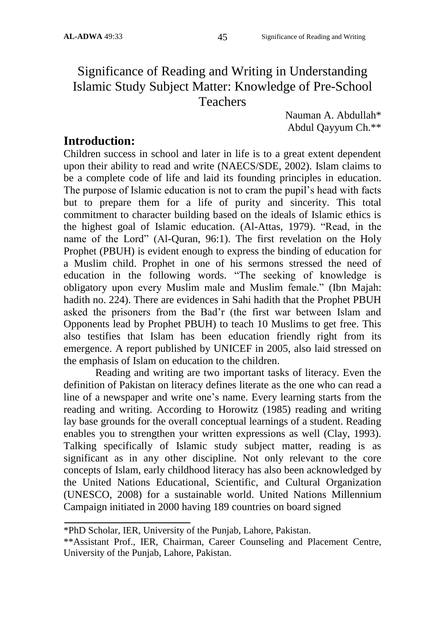# Significance of Reading and Writing in Understanding Islamic Study Subject Matter: Knowledge of Pre-School Teachers

Nauman A. Abdullah\* Abdul Qayyum Ch.\*\*

## **Introduction:**

Children success in school and later in life is to a great extent dependent upon their ability to read and write (NAECS/SDE, 2002). Islam claims to be a complete code of life and laid its founding principles in education. The purpose of Islamic education is not to cram the pupil"s head with facts but to prepare them for a life of purity and sincerity. This total commitment to character building based on the ideals of Islamic ethics is the highest goal of Islamic education. (Al-Attas, 1979). "Read, in the name of the Lord" (Al-Quran, 96:1). The first revelation on the Holy Prophet (PBUH) is evident enough to express the binding of education for a Muslim child. Prophet in one of his sermons stressed the need of education in the following words. "The seeking of knowledge is obligatory upon every Muslim male and Muslim female." (Ibn Majah: hadith no. 224). There are evidences in Sahi hadith that the Prophet PBUH asked the prisoners from the Bad"r (the first war between Islam and Opponents lead by Prophet PBUH) to teach 10 Muslims to get free. This also testifies that Islam has been education friendly right from its emergence. A report published by UNICEF in 2005, also laid stressed on the emphasis of Islam on education to the children.

Reading and writing are two important tasks of literacy. Even the definition of Pakistan on literacy defines literate as the one who can read a line of a newspaper and write one's name. Every learning starts from the reading and writing. According to Horowitz (1985) reading and writing lay base grounds for the overall conceptual learnings of a student. Reading enables you to strengthen your written expressions as well (Clay, 1993). Talking specifically of Islamic study subject matter, reading is as significant as in any other discipline. Not only relevant to the core concepts of Islam, early childhood literacy has also been acknowledged by the United Nations Educational, Scientific, and Cultural Organization (UNESCO, 2008) for a sustainable world. United Nations Millennium Campaign initiated in 2000 having 189 countries on board signed

<sup>\*</sup>PhD Scholar, IER, University of the Punjab, Lahore, Pakistan.

<sup>\*\*</sup>Assistant Prof., IER, Chairman, Career Counseling and Placement Centre, University of the Punjab, Lahore, Pakistan.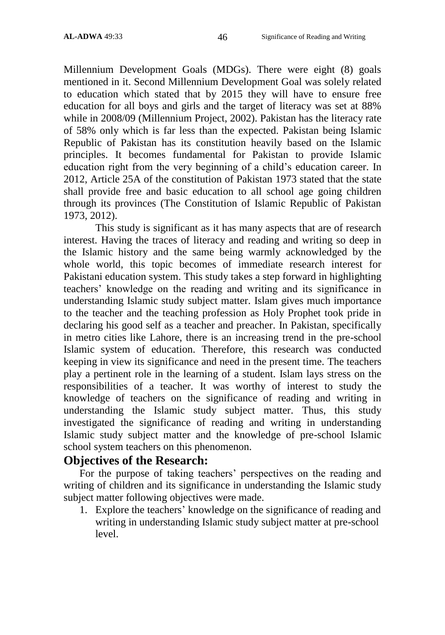Millennium Development Goals (MDGs). There were eight (8) goals mentioned in it. Second Millennium Development Goal was solely related to education which stated that by 2015 they will have to ensure free education for all boys and girls and the target of literacy was set at 88% while in 2008/09 (Millennium Project, 2002). Pakistan has the literacy rate of 58% only which is far less than the expected. Pakistan being Islamic Republic of Pakistan has its constitution heavily based on the Islamic principles. It becomes fundamental for Pakistan to provide Islamic education right from the very beginning of a child"s education career. In 2012, Article 25A of the constitution of Pakistan 1973 stated that the state shall provide free and basic education to all school age going children through its provinces (The Constitution of Islamic Republic of Pakistan 1973, 2012).

This study is significant as it has many aspects that are of research interest. Having the traces of literacy and reading and writing so deep in the Islamic history and the same being warmly acknowledged by the whole world, this topic becomes of immediate research interest for Pakistani education system. This study takes a step forward in highlighting teachers" knowledge on the reading and writing and its significance in understanding Islamic study subject matter. Islam gives much importance to the teacher and the teaching profession as Holy Prophet took pride in declaring his good self as a teacher and preacher. In Pakistan, specifically in metro cities like Lahore, there is an increasing trend in the pre-school Islamic system of education. Therefore, this research was conducted keeping in view its significance and need in the present time. The teachers play a pertinent role in the learning of a student. Islam lays stress on the responsibilities of a teacher. It was worthy of interest to study the knowledge of teachers on the significance of reading and writing in understanding the Islamic study subject matter. Thus, this study investigated the significance of reading and writing in understanding Islamic study subject matter and the knowledge of pre-school Islamic school system teachers on this phenomenon.

## **Objectives of the Research:**

For the purpose of taking teachers' perspectives on the reading and writing of children and its significance in understanding the Islamic study subject matter following objectives were made.

1. Explore the teachers' knowledge on the significance of reading and writing in understanding Islamic study subject matter at pre-school level.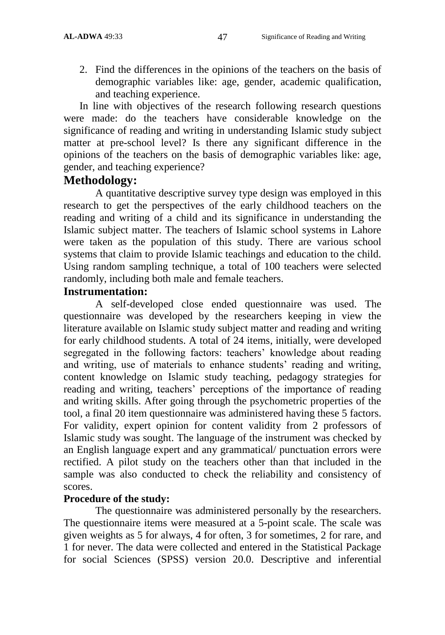2. Find the differences in the opinions of the teachers on the basis of demographic variables like: age, gender, academic qualification, and teaching experience.

In line with objectives of the research following research questions were made: do the teachers have considerable knowledge on the significance of reading and writing in understanding Islamic study subject matter at pre-school level? Is there any significant difference in the opinions of the teachers on the basis of demographic variables like: age, gender, and teaching experience?

## **Methodology:**

A quantitative descriptive survey type design was employed in this research to get the perspectives of the early childhood teachers on the reading and writing of a child and its significance in understanding the Islamic subject matter. The teachers of Islamic school systems in Lahore were taken as the population of this study. There are various school systems that claim to provide Islamic teachings and education to the child. Using random sampling technique, a total of 100 teachers were selected randomly, including both male and female teachers.

### **Instrumentation:**

A self-developed close ended questionnaire was used. The questionnaire was developed by the researchers keeping in view the literature available on Islamic study subject matter and reading and writing for early childhood students. A total of 24 items, initially, were developed segregated in the following factors: teachers' knowledge about reading and writing, use of materials to enhance students' reading and writing, content knowledge on Islamic study teaching, pedagogy strategies for reading and writing, teachers' perceptions of the importance of reading and writing skills. After going through the psychometric properties of the tool, a final 20 item questionnaire was administered having these 5 factors. For validity, expert opinion for content validity from 2 professors of Islamic study was sought. The language of the instrument was checked by an English language expert and any grammatical/ punctuation errors were rectified. A pilot study on the teachers other than that included in the sample was also conducted to check the reliability and consistency of scores.

### **Procedure of the study:**

The questionnaire was administered personally by the researchers. The questionnaire items were measured at a 5-point scale. The scale was given weights as 5 for always, 4 for often, 3 for sometimes, 2 for rare, and 1 for never. The data were collected and entered in the Statistical Package for social Sciences (SPSS) version 20.0. Descriptive and inferential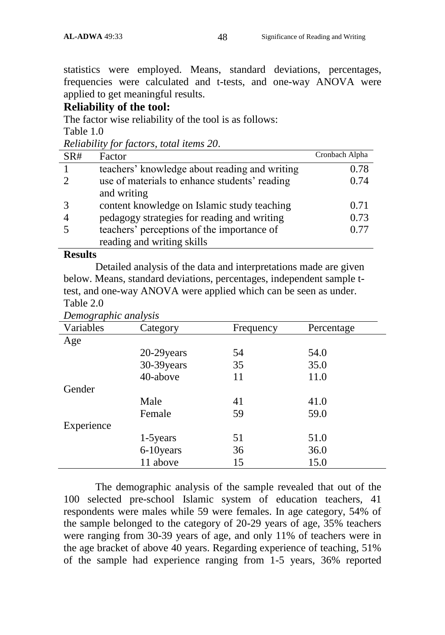statistics were employed. Means, standard deviations, percentages, frequencies were calculated and t-tests, and one-way ANOVA were applied to get meaningful results.

#### **Reliability of the tool:**

The factor wise reliability of the tool is as follows:

Table 1.0

|  | Reliability for factors, total items 20. |  |  |  |  |  |
|--|------------------------------------------|--|--|--|--|--|
|--|------------------------------------------|--|--|--|--|--|

| SR# | Factor                                        | Cronbach Alpha |
|-----|-----------------------------------------------|----------------|
|     | teachers' knowledge about reading and writing | 0.78           |
|     | use of materials to enhance students' reading | 0.74           |
|     | and writing                                   |                |
|     | content knowledge on Islamic study teaching   | 0.71           |
|     | pedagogy strategies for reading and writing   | 0.73           |
|     | teachers' perceptions of the importance of    | 0.77           |
|     | reading and writing skills                    |                |

#### **Results**

Detailed analysis of the data and interpretations made are given below. Means, standard deviations, percentages, independent sample ttest, and one-way ANOVA were applied which can be seen as under. Table 2.0

| $B$ ento $\chi$ applied and $\chi$ sub |             |           |            |  |  |  |
|----------------------------------------|-------------|-----------|------------|--|--|--|
| Variables                              | Category    | Frequency | Percentage |  |  |  |
| Age                                    |             |           |            |  |  |  |
|                                        | 20-29 years | 54        | 54.0       |  |  |  |
|                                        | 30-39 years | 35        | 35.0       |  |  |  |
|                                        | 40-above    | 11        | 11.0       |  |  |  |
| Gender                                 |             |           |            |  |  |  |
|                                        | Male        | 41        | 41.0       |  |  |  |
|                                        | Female      | 59        | 59.0       |  |  |  |
| Experience                             |             |           |            |  |  |  |
|                                        | 1-5 years   | 51        | 51.0       |  |  |  |
|                                        | 6-10years   | 36        | 36.0       |  |  |  |
|                                        | 11 above    | 15        | 15.0       |  |  |  |

*Demographic analysis*

The demographic analysis of the sample revealed that out of the 100 selected pre-school Islamic system of education teachers, 41 respondents were males while 59 were females. In age category, 54% of the sample belonged to the category of 20-29 years of age, 35% teachers were ranging from 30-39 years of age, and only 11% of teachers were in the age bracket of above 40 years. Regarding experience of teaching, 51% of the sample had experience ranging from 1-5 years, 36% reported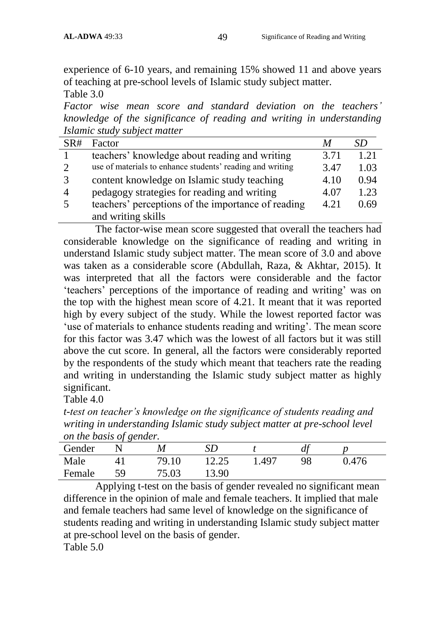experience of 6-10 years, and remaining 15% showed 11 and above years of teaching at pre-school levels of Islamic study subject matter. Table 3.0

*Factor wise mean score and standard deviation on the teachers' knowledge of the significance of reading and writing in understanding Islamic study subject matter*

| SR#            | Factor                                                    | M    | SD   |
|----------------|-----------------------------------------------------------|------|------|
|                | teachers' knowledge about reading and writing             | 3.71 | 1.21 |
| $\mathcal{D}$  | use of materials to enhance students' reading and writing | 3.47 | 1.03 |
|                | content knowledge on Islamic study teaching               | 4.10 | 0.94 |
| $\overline{A}$ | pedagogy strategies for reading and writing               | 4.07 | 1.23 |
| .5             | teachers' perceptions of the importance of reading        | 4.21 | 0.69 |
|                | and writing skills                                        |      |      |

The factor-wise mean score suggested that overall the teachers had considerable knowledge on the significance of reading and writing in understand Islamic study subject matter. The mean score of 3.0 and above was taken as a considerable score (Abdullah, Raza, & Akhtar, 2015). It was interpreted that all the factors were considerable and the factor "teachers" perceptions of the importance of reading and writing" was on the top with the highest mean score of 4.21. It meant that it was reported high by every subject of the study. While the lowest reported factor was "use of materials to enhance students reading and writing". The mean score for this factor was 3.47 which was the lowest of all factors but it was still above the cut score. In general, all the factors were considerably reported by the respondents of the study which meant that teachers rate the reading and writing in understanding the Islamic study subject matter as highly significant.

Table 4.0

*t-test on teacher's knowledge on the significance of students reading and writing in understanding Islamic study subject matter at pre-school level on the basis of gender.*

| Gender |    | M     |       |       |    |       |  |
|--------|----|-------|-------|-------|----|-------|--|
| Male   |    | 79.10 | 12.25 | 1.497 | 98 | 0.476 |  |
| Female | 59 | 75.03 | 13.90 |       |    |       |  |

Applying t-test on the basis of gender revealed no significant mean difference in the opinion of male and female teachers. It implied that male and female teachers had same level of knowledge on the significance of students reading and writing in understanding Islamic study subject matter at pre-school level on the basis of gender.

Table 5.0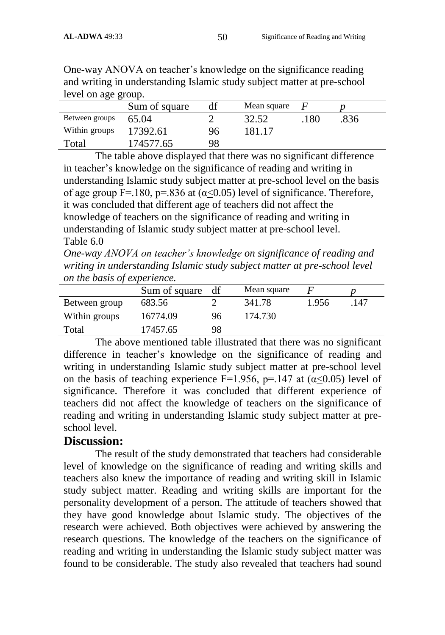| level on age group. |               |    |             |     |      |  |
|---------------------|---------------|----|-------------|-----|------|--|
|                     | Sum of square |    | Mean square |     |      |  |
| Between groups      | 65.04         |    | 32.52       | 180 | .836 |  |
| Within groups       | 17392.61      | 96 | 181.17      |     |      |  |
| Total               | 174577.65     | 98 |             |     |      |  |

One-way ANOVA on teacher"s knowledge on the significance reading and writing in understanding Islamic study subject matter at pre-school level on age group.

The table above displayed that there was no significant difference in teacher"s knowledge on the significance of reading and writing in understanding Islamic study subject matter at pre-school level on the basis of age group F=.180, p=.836 at  $(\alpha \le 0.05)$  level of significance. Therefore, it was concluded that different age of teachers did not affect the knowledge of teachers on the significance of reading and writing in understanding of Islamic study subject matter at pre-school level. Table 6.0

*One-way ANOVA on teacher's knowledge on significance of reading and writing in understanding Islamic study subject matter at pre-school level on the basis of experience.*

|               | Sum of square | df | Mean square |       |      |
|---------------|---------------|----|-------------|-------|------|
| Between group | 683.56        |    | 341.78      | 1.956 | .147 |
| Within groups | 16774.09      | 96 | 174.730     |       |      |
| Total         | 17457.65      | 98 |             |       |      |

The above mentioned table illustrated that there was no significant difference in teacher's knowledge on the significance of reading and writing in understanding Islamic study subject matter at pre-school level on the basis of teaching experience F=1.956, p=.147 at  $(\alpha < 0.05)$  level of significance. Therefore it was concluded that different experience of teachers did not affect the knowledge of teachers on the significance of reading and writing in understanding Islamic study subject matter at preschool level.

## **Discussion:**

The result of the study demonstrated that teachers had considerable level of knowledge on the significance of reading and writing skills and teachers also knew the importance of reading and writing skill in Islamic study subject matter. Reading and writing skills are important for the personality development of a person. The attitude of teachers showed that they have good knowledge about Islamic study. The objectives of the research were achieved. Both objectives were achieved by answering the research questions. The knowledge of the teachers on the significance of reading and writing in understanding the Islamic study subject matter was found to be considerable. The study also revealed that teachers had sound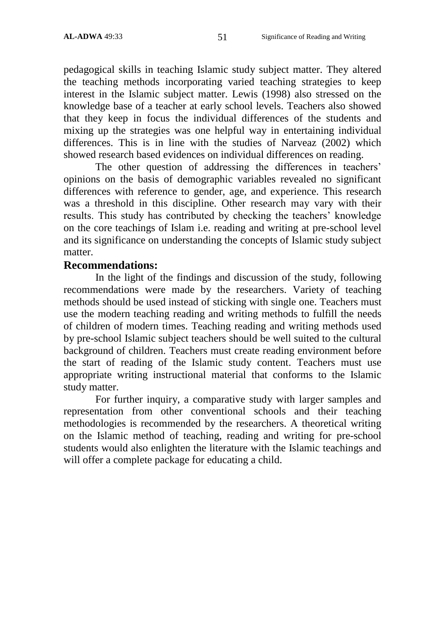pedagogical skills in teaching Islamic study subject matter. They altered the teaching methods incorporating varied teaching strategies to keep interest in the Islamic subject matter. Lewis (1998) also stressed on the knowledge base of a teacher at early school levels. Teachers also showed that they keep in focus the individual differences of the students and mixing up the strategies was one helpful way in entertaining individual differences. This is in line with the studies of Narveaz (2002) which showed research based evidences on individual differences on reading.

The other question of addressing the differences in teachers' opinions on the basis of demographic variables revealed no significant differences with reference to gender, age, and experience. This research was a threshold in this discipline. Other research may vary with their results. This study has contributed by checking the teachers' knowledge on the core teachings of Islam i.e. reading and writing at pre-school level and its significance on understanding the concepts of Islamic study subject matter.

#### **Recommendations:**

In the light of the findings and discussion of the study, following recommendations were made by the researchers. Variety of teaching methods should be used instead of sticking with single one. Teachers must use the modern teaching reading and writing methods to fulfill the needs of children of modern times. Teaching reading and writing methods used by pre-school Islamic subject teachers should be well suited to the cultural background of children. Teachers must create reading environment before the start of reading of the Islamic study content. Teachers must use appropriate writing instructional material that conforms to the Islamic study matter.

For further inquiry, a comparative study with larger samples and representation from other conventional schools and their teaching methodologies is recommended by the researchers. A theoretical writing on the Islamic method of teaching, reading and writing for pre-school students would also enlighten the literature with the Islamic teachings and will offer a complete package for educating a child.